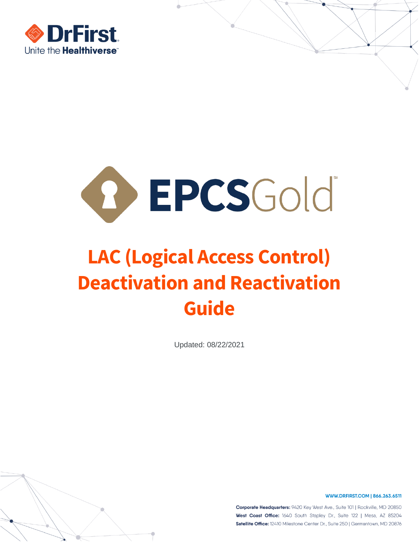



# **LAC (Logical Access Control) Deactivation and Reactivation Guide**

Updated: 08/22/2021

WWW.DRFIRST.COM | 866.263.6511

Corporate Headquarters: 9420 Key West Ave., Suite 101 | Rockville, MD 20850 West Coast Office: 1640 South Stapley Dr., Suite 122 | Mesa, AZ 85204 Satellite Office: 12410 Milestone Center Dr., Suite 250 | Germantown, MD 20876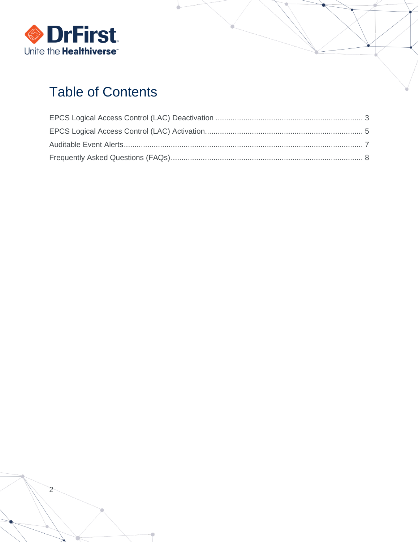

# **Table of Contents**

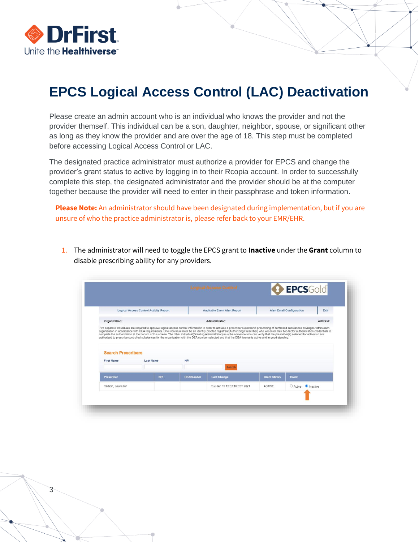

3

## <span id="page-2-0"></span>**EPCS Logical Access Control (LAC) Deactivation**

Please create an admin account who is an individual who knows the provider and not the provider themself. This individual can be a son, daughter, neighbor, spouse, or significant other as long as they know the provider and are over the age of 18. This step must be completed before accessing Logical Access Control or LAC.

The designated practice administrator must authorize a provider for EPCS and change the provider's grant status to active by logging in to their Rcopia account. In order to successfully complete this step, the designated administrator and the provider should be at the computer together because the provider will need to enter in their passphrase and token information.

**Please Note:** An administrator should have been designated during implementation, but if you are unsure of who the practice administrator is, please refer back to your EMR/EHR.

1. The administrator will need to toggle the EPCS grant to **Inactive** under the **Grant** column to disable prescribing ability for any providers.

|                                                | <b>Logical Access Control Activity Report</b> |                  | <b>Auditable Event Alert Report</b><br><b>Alert Email Configuration</b><br>Exit |                     |       |          |  |  |  |  |
|------------------------------------------------|-----------------------------------------------|------------------|---------------------------------------------------------------------------------|---------------------|-------|----------|--|--|--|--|
| Organization:                                  |                                               |                  | Administrator:                                                                  |                     |       | Address: |  |  |  |  |
|                                                |                                               |                  |                                                                                 |                     |       |          |  |  |  |  |
| <b>Search Prescribers</b><br><b>First Name</b> | <b>Last Name</b>                              | <b>NPI</b>       | <b>Search</b>                                                                   |                     |       |          |  |  |  |  |
| Prescriber                                     | <b>NPI</b>                                    | <b>DEANumber</b> | <b>Last Change</b>                                                              | <b>Grant Status</b> | Grant |          |  |  |  |  |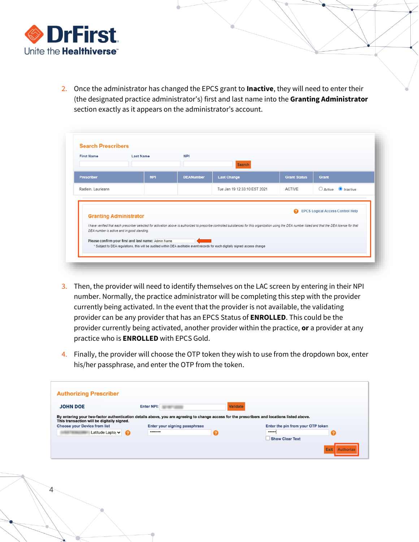

4

2. Once the administrator has changed the EPCS grant to **Inactive**, they will need to enter their (the designated practice administrator's) first and last name into the **Granting Administrator**  section exactly as it appears on the administrator's account.

|                               |            |                  | Search                       |                     |                                         |
|-------------------------------|------------|------------------|------------------------------|---------------------|-----------------------------------------|
| <b>Prescriber</b>             | <b>NPI</b> | <b>DEANumber</b> | <b>Last Change</b>           | <b>Grant Status</b> | Grant                                   |
| Radlein, Laurieann            |            |                  | Tue Jan 19 12:33:10 EST 2021 | <b>ACTIVE</b>       | $\bigcirc$ Active $\bigcirc$ Inactive   |
| <b>Granting Administrator</b> |            |                  |                              | Q                   | <b>EPCS Logical Access Control Help</b> |

- 3. Then, the provider will need to identify themselves on the LAC screen by entering in their NPI number. Normally, the practice administrator will be completing this step with the provider currently being activated. In the event that the provider is not available, the validating provider can be any provider that has an EPCS Status of **ENROLLED**. This could be the provider currently being activated, another provider within the practice, **or** a provider at any practice who is **ENROLLED** with EPCS Gold.
- 4. Finally, the provider will choose the OTP token they wish to use from the dropdown box, enter his/her passphrase, and enter the OTP from the token.

| <b>Authorizing Prescriber</b>                           |                                                                                                                                                                                                   |                 |  |                                                                 |
|---------------------------------------------------------|---------------------------------------------------------------------------------------------------------------------------------------------------------------------------------------------------|-----------------|--|-----------------------------------------------------------------|
| <b>JOHN DOE</b>                                         | <b>Enter NPI:</b><br>By entering your two-factor authentication details above, you are agreeing to change access for the prescribers and locations listed above.<br>Enter your signing passphrase | <b>Validate</b> |  |                                                                 |
| This transaction will be digitally signed.              |                                                                                                                                                                                                   |                 |  |                                                                 |
| <b>Choose your Device from list</b><br>Latitude Lapto v | Q                                                                                                                                                                                                 |                 |  | Enter the pin from your OTP token<br><br><b>Show Clear Text</b> |
|                                                         |                                                                                                                                                                                                   |                 |  | Exit                                                            |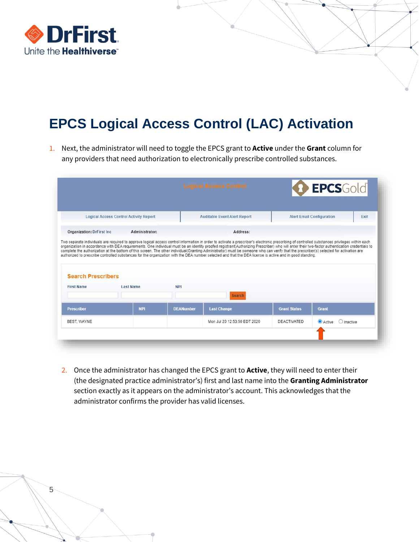

# <span id="page-4-0"></span>**EPCS Logical Access Control (LAC) Activation**

1. Next, the administrator will need to toggle the EPCS grant to **Active** under the **Grant** column for any providers that need authorization to electronically prescribe controlled substances.

|                                                                                    | <b>Logical Access Control Activity Report</b> |                  | <b>Auditable Event Alert Report</b>                                                                                                                                                                                                                                                                                                                 |                     | <b>Alert Email Configuration</b> | Exit |
|------------------------------------------------------------------------------------|-----------------------------------------------|------------------|-----------------------------------------------------------------------------------------------------------------------------------------------------------------------------------------------------------------------------------------------------------------------------------------------------------------------------------------------------|---------------------|----------------------------------|------|
| Organization: DrFirst Inc.                                                         | Administrator:                                |                  | Address:                                                                                                                                                                                                                                                                                                                                            |                     |                                  |      |
|                                                                                    |                                               |                  | complete the authorization at the bottom of this screen. The other individual(Granting Administrator) must be someone who can verify that the prescriber(s) selected for activation are<br>authorized to prescribe controlled substances for the organization with the DEA number selected and that the DEA license is active and in good standing. |                     |                                  |      |
|                                                                                    | Last Name                                     | <b>NPI</b>       |                                                                                                                                                                                                                                                                                                                                                     |                     |                                  |      |
|                                                                                    |                                               |                  | <b>Search</b>                                                                                                                                                                                                                                                                                                                                       |                     |                                  |      |
|                                                                                    | <b>NPI</b>                                    | <b>DEANumber</b> | <b>Last Change</b>                                                                                                                                                                                                                                                                                                                                  | <b>Grant Status</b> | Grant                            |      |
| <b>Search Prescribers</b><br><b>First Name</b><br><b>Prescriber</b><br>BEST. WAYNE |                                               |                  | Mon Jul 20 12:53:50 EDT 2020                                                                                                                                                                                                                                                                                                                        | <b>DEACTIVATED</b>  | Active<br>$O$ Inactive           |      |

2. Once the administrator has changed the EPCS grant to **Active**, they will need to enter their (the designated practice administrator's) first and last name into the **Granting Administrator**  section exactly as it appears on the administrator's account. This acknowledges that the administrator confirms the provider has valid licenses.

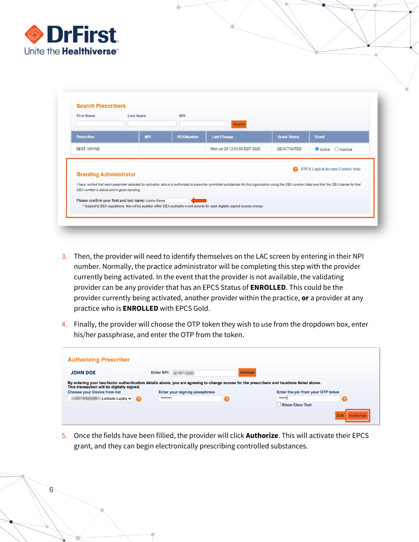

6

|                                            | <b>Last Name</b>                                    | <b>NPI</b>       | Search                                                                                                                                                                                                  |                     |                   |
|--------------------------------------------|-----------------------------------------------------|------------------|---------------------------------------------------------------------------------------------------------------------------------------------------------------------------------------------------------|---------------------|-------------------|
| <b>Prescriber</b>                          | <b>NPI</b>                                          | <b>DEANumber</b> | <b>Last Change</b>                                                                                                                                                                                      | <b>Grant Status</b> | Grant             |
| BEST, WAYNE                                |                                                     |                  | Mon Jul 20 12:53:50 EDT 2020                                                                                                                                                                            | <b>DEACTIVATED</b>  | Active O Inactive |
| <b>Granting Administrator</b>              |                                                     |                  |                                                                                                                                                                                                         |                     |                   |
| DEA number is active and in good standing. | Please confirm your first and last name: Admin Name |                  | I have verified that each prescriber selected for activation above is authorized to prescribe controlled substances for this organization using the DEA number listed and that the DEA license for that |                     |                   |

- 3. Then, the provider will need to identify themselves on the LAC screen by entering in their NPI number. Normally, the practice administrator will be completing this step with the provider currently being activated. In the event that the provider is not available, the validating provider can be any provider that has an EPCS Status of **ENROLLED**. This could be the provider currently being activated, another provider within the practice, **or** a provider at any practice who is **ENROLLED** with EPCS Gold.
- 4. Finally, the provider will choose the OTP token they wish to use from the dropdown box, enter his/her passphrase, and enter the OTP from the token.

| <b>Authorizing Prescriber</b>                                                                                                                                                                                                    |   |                               |                 |                                   |
|----------------------------------------------------------------------------------------------------------------------------------------------------------------------------------------------------------------------------------|---|-------------------------------|-----------------|-----------------------------------|
| <b>JOHN DOE</b>                                                                                                                                                                                                                  |   | <b>Enter NPI:</b>             | <b>Validate</b> |                                   |
| By entering your two-factor authentication details above, you are agreeing to change access for the prescribers and locations listed above.<br>This transaction will be digitally signed.<br><b>Choose your Device from list</b> |   | Enter your signing passphrase |                 | Enter the pin from your OTP token |
| Latitude Lapto v                                                                                                                                                                                                                 | Q |                               |                 | <br><b>Show Clear Text</b>        |
|                                                                                                                                                                                                                                  |   |                               |                 | Exit                              |

5. Once the fields have been fillied, the provider will click **Authorize**. This will activate their EPCS grant, and they can begin electronically prescribing controlled substances.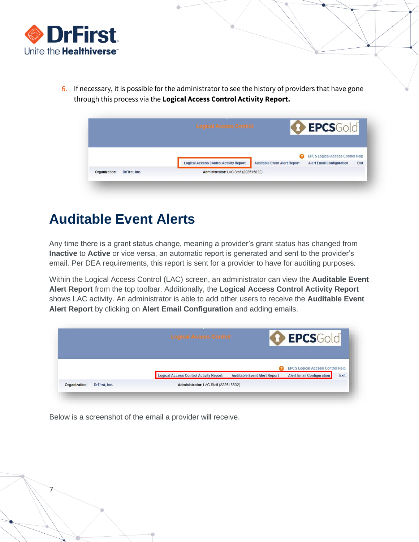

6. If necessary, it is possible for the administrator to see the history of providers that have gone through this process via the **Logical Access Control Activity Report.**

|  | <b>Logical Access Control</b>                 |                                     | <b>O</b> EPCSGold                                                           |      |
|--|-----------------------------------------------|-------------------------------------|-----------------------------------------------------------------------------|------|
|  |                                               |                                     |                                                                             |      |
|  |                                               |                                     |                                                                             |      |
|  | <b>Logical Access Control Activity Report</b> | <b>Auditable Event Alert Report</b> | <b>EPCS Logical Access Control Help</b><br><b>Alert Email Configuration</b> | Exit |

#### <span id="page-6-0"></span>**Auditable Event Alerts**

Any time there is a grant status change, meaning a provider's grant status has changed from **Inactive** to **Active** or vice versa, an automatic report is generated and sent to the provider's email. Per DEA requirements, this report is sent for a provider to have for auditing purposes.

Within the Logical Access Control (LAC) screen, an administrator can view the **Auditable Event Alert Report** from the top toolbar. Additionally, the **Logical Access Control Activity Report**  shows LAC activity. An administrator is able to add other users to receive the **Auditable Event Alert Report** by clicking on **Alert Email Configuration** and adding emails.

|  | Logical Access Control<br><b>A DOWN YOUR AVENUE OF A STATE OF A STATE</b> |                                     | <b>D</b> EPCSGold                       |      |
|--|---------------------------------------------------------------------------|-------------------------------------|-----------------------------------------|------|
|  |                                                                           |                                     |                                         |      |
|  |                                                                           |                                     | <b>EPCS Logical Access Control Help</b> |      |
|  | <b>Logical Access Control Activity Report</b>                             | <b>Auditable Event Alert Report</b> | <b>Alert Email Configuration</b>        | Exit |

Below is a screenshot of the email a provider will receive.

7